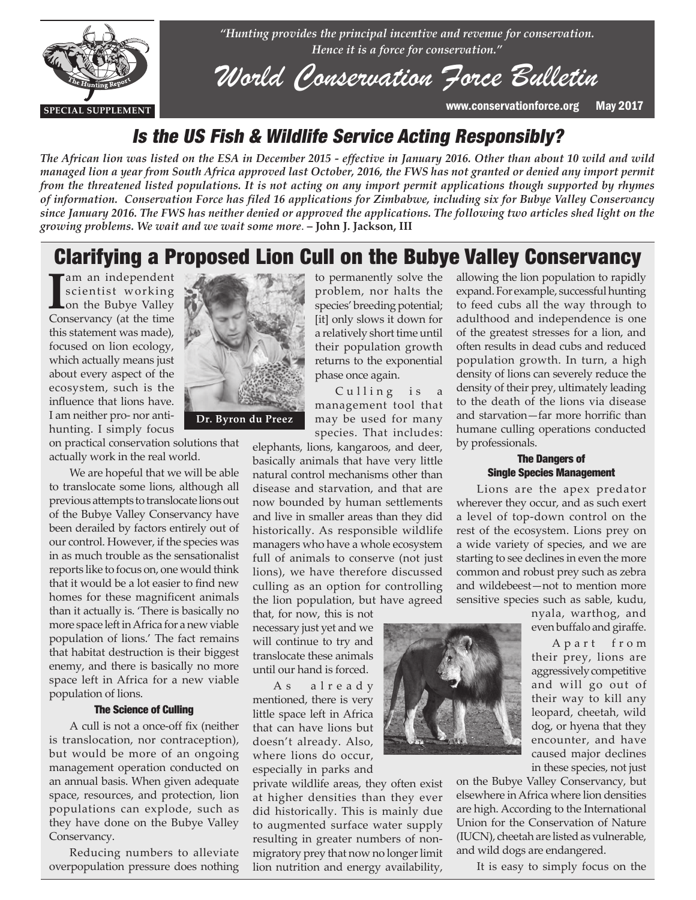

*"Hunting provides the principal incentive and revenue for conservation. Hence it is a force for conservation."*

# *World Conservation Force Bulletin*

**SPECIAL SUPPLEMENT** www.conservationforce.org May 2017

### Is the US Fish & Wildlife Service Acting Responsibly?

*The African lion was listed on the ESA in December 2015 - effective in January 2016. Other than about 10 wild and wild managed lion a year from South Africa approved last October, 2016, the FWS has not granted or denied any import permit from the threatened listed populations. It is not acting on any import permit applications though supported by rhymes of information. Conservation Force has filed 16 applications for Zimbabwe, including six for Bubye Valley Conservancy since January 2016. The FWS has neither denied or approved the applications. The following two articles shed light on the growing problems. We wait and we wait some more*. **– John J. Jackson, III**

## Clarifying a Proposed Lion Cull on the Bubye Valley Conservancy

**I** scientist working<br>
on the Bubye Valley<br>
Conservancy (at the time am an independent scientist working on the Bubye Valley this statement was made), focused on lion ecology, which actually means just about every aspect of the ecosystem, such is the influence that lions have. I am neither pro- nor antihunting. I simply focus

on practical conservation solutions that actually work in the real world.

We are hopeful that we will be able to translocate some lions, although all previous attempts to translocate lions out of the Bubye Valley Conservancy have been derailed by factors entirely out of our control. However, if the species was in as much trouble as the sensationalist reports like to focus on, one would think that it would be a lot easier to find new homes for these magnificent animals than it actually is. 'There is basically no more space left in Africa for a new viable population of lions.' The fact remains that habitat destruction is their biggest enemy, and there is basically no more space left in Africa for a new viable population of lions.

#### The Science of Culling

A cull is not a once-off fix (neither is translocation, nor contraception), but would be more of an ongoing management operation conducted on an annual basis. When given adequate space, resources, and protection, lion populations can explode, such as they have done on the Bubye Valley Conservancy.

Reducing numbers to alleviate overpopulation pressure does nothing



**Dr. Byron du Preez**

to permanently solve the problem, nor halts the species' breeding potential; [it] only slows it down for a relatively short time until their population growth returns to the exponential phase once again.

Culling is a management tool that may be used for many species. That includes:

elephants, lions, kangaroos, and deer, basically animals that have very little natural control mechanisms other than disease and starvation, and that are now bounded by human settlements and live in smaller areas than they did historically. As responsible wildlife managers who have a whole ecosystem full of animals to conserve (not just lions), we have therefore discussed culling as an option for controlling the lion population, but have agreed

that, for now, this is not necessary just yet and we will continue to try and translocate these animals until our hand is forced.

A s a l r e a d y mentioned, there is very little space left in Africa that can have lions but doesn't already. Also, where lions do occur, especially in parks and

private wildlife areas, they often exist at higher densities than they ever did historically. This is mainly due to augmented surface water supply resulting in greater numbers of nonmigratory prey that now no longer limit lion nutrition and energy availability,



allowing the lion population to rapidly expand. For example, successful hunting to feed cubs all the way through to adulthood and independence is one of the greatest stresses for a lion, and often results in dead cubs and reduced population growth. In turn, a high density of lions can severely reduce the density of their prey, ultimately leading to the death of the lions via disease and starvation—far more horrific than humane culling operations conducted by professionals.

#### The Dangers of Single Species Management

Lions are the apex predator wherever they occur, and as such exert a level of top-down control on the rest of the ecosystem. Lions prey on a wide variety of species, and we are starting to see declines in even the more common and robust prey such as zebra and wildebeest—not to mention more sensitive species such as sable, kudu,

> nyala, warthog, and even buffalo and giraffe.

> A p a r t f r o m their prey, lions are aggressively competitive and will go out of their way to kill any leopard, cheetah, wild dog, or hyena that they encounter, and have caused major declines in these species, not just

on the Bubye Valley Conservancy, but elsewhere in Africa where lion densities are high. According to the International Union for the Conservation of Nature (IUCN), cheetah are listed as vulnerable, and wild dogs are endangered.

It is easy to simply focus on the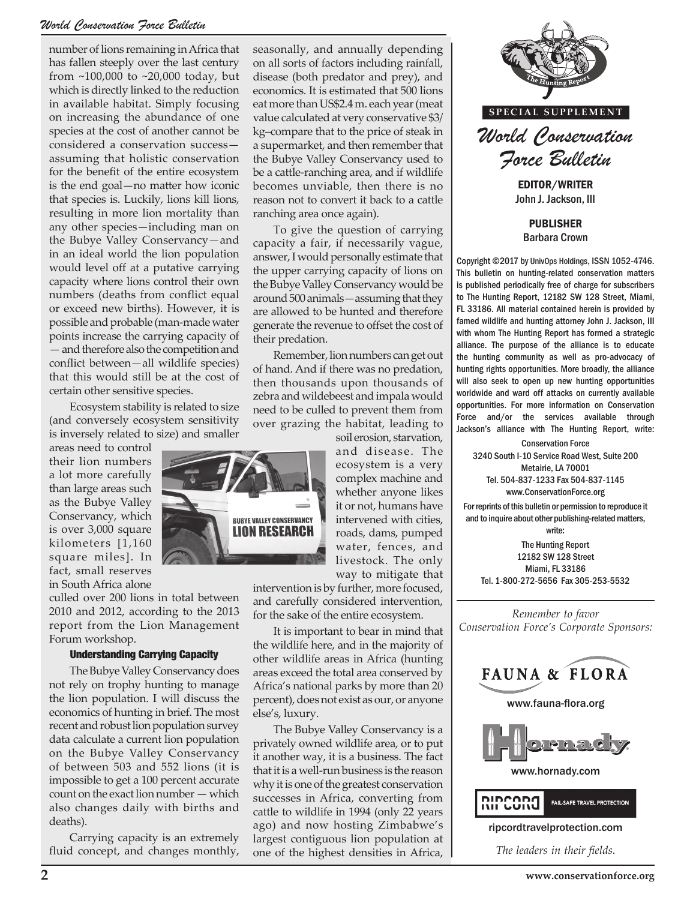#### *World Conservation Force Bulletin*

number of lions remaining in Africa that has fallen steeply over the last century from ~100,000 to ~20,000 today, but which is directly linked to the reduction in available habitat. Simply focusing on increasing the abundance of one species at the cost of another cannot be considered a conservation success assuming that holistic conservation for the benefit of the entire ecosystem is the end goal—no matter how iconic that species is. Luckily, lions kill lions, resulting in more lion mortality than any other species—including man on the Bubye Valley Conservancy—and in an ideal world the lion population would level off at a putative carrying capacity where lions control their own numbers (deaths from conflict equal or exceed new births). However, it is possible and probable (man-made water points increase the carrying capacity of — and therefore also the competition and conflict between—all wildlife species) that this would still be at the cost of certain other sensitive species.

Ecosystem stability is related to size (and conversely ecosystem sensitivity is inversely related to size) and smaller

areas need to control their lion numbers a lot more carefully than large areas such as the Bubye Valley Conservancy, which is over 3,000 square kilometers [1,160 square miles]. In fact, small reserves in South Africa alone

culled over 200 lions in total between 2010 and 2012, according to the 2013 report from the Lion Management Forum workshop.

#### Understanding Carrying Capacity

The Bubye Valley Conservancy does not rely on trophy hunting to manage the lion population. I will discuss the economics of hunting in brief. The most recent and robust lion population survey data calculate a current lion population on the Bubye Valley Conservancy of between 503 and 552 lions (it is impossible to get a 100 percent accurate count on the exact lion number — which also changes daily with births and deaths).

Carrying capacity is an extremely fluid concept, and changes monthly, seasonally, and annually depending on all sorts of factors including rainfall, disease (both predator and prey), and economics. It is estimated that 500 lions eat more than US\$2.4 m. each year (meat value calculated at very conservative \$3/ kg–compare that to the price of steak in a supermarket, and then remember that the Bubye Valley Conservancy used to be a cattle-ranching area, and if wildlife becomes unviable, then there is no reason not to convert it back to a cattle ranching area once again).

To give the question of carrying capacity a fair, if necessarily vague, answer, I would personally estimate that the upper carrying capacity of lions on the Bubye Valley Conservancy would be around 500 animals—assuming that they are allowed to be hunted and therefore generate the revenue to offset the cost of their predation.

Remember, lion numbers can get out of hand. And if there was no predation, then thousands upon thousands of zebra and wildebeest and impala would need to be culled to prevent them from over grazing the habitat, leading to

soil erosion, starvation, and disease. The ecosystem is a very complex machine and whether anyone likes it or not, humans have intervened with cities, roads, dams, pumped water, fences, and livestock. The only way to mitigate that

intervention is by further, more focused, and carefully considered intervention, for the sake of the entire ecosystem.

It is important to bear in mind that the wildlife here, and in the majority of other wildlife areas in Africa (hunting areas exceed the total area conserved by Africa's national parks by more than 20 percent), does not exist as our, or anyone else's, luxury.

The Bubye Valley Conservancy is a privately owned wildlife area, or to put it another way, it is a business. The fact that it is a well-run business is the reason why it is one of the greatest conservation successes in Africa, converting from cattle to wildlife in 1994 (only 22 years ago) and now hosting Zimbabwe's largest contiguous lion population at one of the highest densities in Africa,



John J. Jackson, III

PUBLISHER Barbara Crown

Copyright ©2017 by UnivOps Holdings, ISSN 1052-4746. This bulletin on hunting-related conservation matters is published periodically free of charge for subscribers to The Hunting Report, 12182 SW 128 Street, Miami, FL 33186. All material contained herein is provided by famed wildlife and hunting attorney John J. Jackson, III with whom The Hunting Report has formed a strategic alliance. The purpose of the alliance is to educate the hunting community as well as pro-advocacy of hunting rights opportunities. More broadly, the alliance will also seek to open up new hunting opportunities worldwide and ward off attacks on currently available opportunities. For more information on Conservation Force and/or the services available through Jackson's alliance with The Hunting Report, write:

Conservation Force 3240 South I-10 Service Road West, Suite 200 Metairie, LA 70001 Tel. 504-837-1233 Fax 504-837-1145 www.ConservationForce.org

For reprints of this bulletin or permission to reproduce it and to inquire about other publishing-related matters, write:

The Hunting Report 12182 SW 128 Street Miami, FL 33186 Tel. 1-800-272-5656 Fax 305-253-5532

*Remember to favor Conservation Force's Corporate Sponsors:*



*The leaders in their fields.*

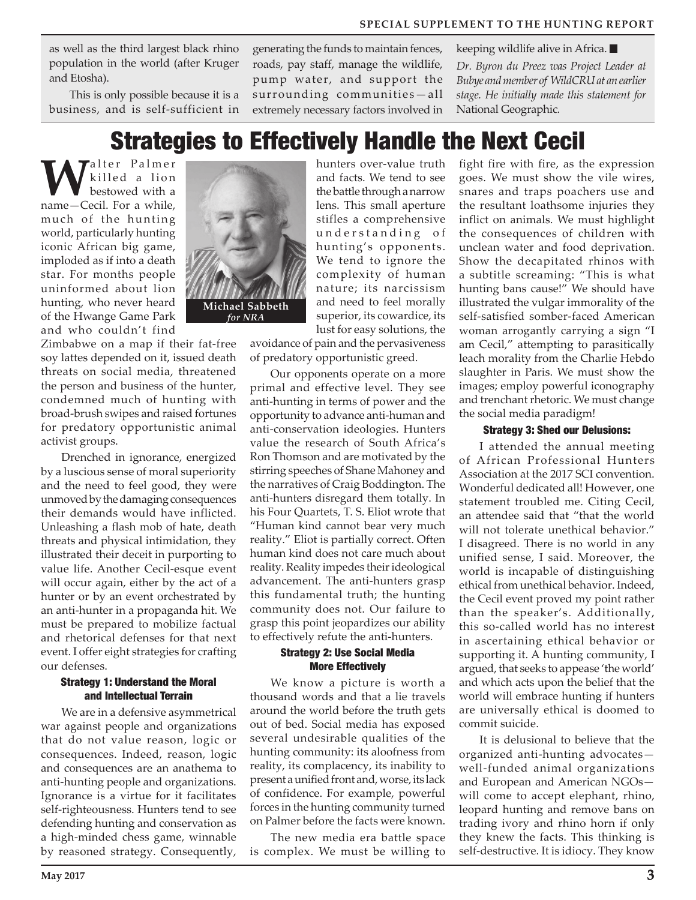**SPECIAL SUPPLEMENT TO THE HUNTING REPORT**

as well as the third largest black rhino population in the world (after Kruger and Etosha).

This is only possible because it is a business, and is self-sufficient in generating the funds to maintain fences, roads, pay staff, manage the wildlife, pump water, and support the surrounding communities—all extremely necessary factors involved in keeping wildlife alive in Africa. *Dr. Byron du Preez was Project Leader at Bubye and member of WildCRU at an earlier stage. He initially made this statement for*  National Geographic*.*

## Strategies to Effectively Handle the Next Cecil

**Walter Palmer** killed a lion bestowed with a name—Cecil. For a while, much of the hunting world, particularly hunting iconic African big game, imploded as if into a death star. For months people uninformed about lion hunting, who never heard of the Hwange Game Park and who couldn't find

Zimbabwe on a map if their fat-free soy lattes depended on it, issued death threats on social media, threatened the person and business of the hunter, condemned much of hunting with broad-brush swipes and raised fortunes for predatory opportunistic animal activist groups.

Drenched in ignorance, energized by a luscious sense of moral superiority and the need to feel good, they were unmoved by the damaging consequences their demands would have inflicted. Unleashing a flash mob of hate, death threats and physical intimidation, they illustrated their deceit in purporting to value life. Another Cecil-esque event will occur again, either by the act of a hunter or by an event orchestrated by an anti-hunter in a propaganda hit. We must be prepared to mobilize factual and rhetorical defenses for that next event. I offer eight strategies for crafting our defenses.

#### Strategy 1: Understand the Moral and Intellectual Terrain

We are in a defensive asymmetrical war against people and organizations that do not value reason, logic or consequences. Indeed, reason, logic and consequences are an anathema to anti-hunting people and organizations. Ignorance is a virtue for it facilitates self-righteousness. Hunters tend to see defending hunting and conservation as a high-minded chess game, winnable by reasoned strategy. Consequently,



hunters over-value truth and facts. We tend to see the battle through a narrow lens. This small aperture stifles a comprehensive understanding of hunting's opponents. We tend to ignore the complexity of human nature; its narcissism and need to feel morally superior, its cowardice, its lust for easy solutions, the

avoidance of pain and the pervasiveness of predatory opportunistic greed.

Our opponents operate on a more primal and effective level. They see anti-hunting in terms of power and the opportunity to advance anti-human and anti-conservation ideologies. Hunters value the research of South Africa's Ron Thomson and are motivated by the stirring speeches of Shane Mahoney and the narratives of Craig Boddington. The anti-hunters disregard them totally. In his Four Quartets, T. S. Eliot wrote that "Human kind cannot bear very much reality." Eliot is partially correct. Often human kind does not care much about reality. Reality impedes their ideological advancement. The anti-hunters grasp this fundamental truth; the hunting community does not. Our failure to grasp this point jeopardizes our ability to effectively refute the anti-hunters.

#### Strategy 2: Use Social Media More Effectively

We know a picture is worth a thousand words and that a lie travels around the world before the truth gets out of bed. Social media has exposed several undesirable qualities of the hunting community: its aloofness from reality, its complacency, its inability to present a unified front and, worse, its lack of confidence. For example, powerful forces in the hunting community turned on Palmer before the facts were known.

The new media era battle space is complex. We must be willing to

fight fire with fire, as the expression goes. We must show the vile wires, snares and traps poachers use and the resultant loathsome injuries they inflict on animals. We must highlight the consequences of children with unclean water and food deprivation. Show the decapitated rhinos with a subtitle screaming: "This is what hunting bans cause!" We should have illustrated the vulgar immorality of the self-satisfied somber-faced American woman arrogantly carrying a sign "I am Cecil," attempting to parasitically leach morality from the Charlie Hebdo slaughter in Paris. We must show the images; employ powerful iconography and trenchant rhetoric. We must change the social media paradigm!

#### Strategy 3: Shed our Delusions:

I attended the annual meeting of African Professional Hunters Association at the 2017 SCI convention. Wonderful dedicated all! However, one statement troubled me. Citing Cecil, an attendee said that "that the world will not tolerate unethical behavior." I disagreed. There is no world in any unified sense, I said. Moreover, the world is incapable of distinguishing ethical from unethical behavior. Indeed, the Cecil event proved my point rather than the speaker's. Additionally, this so-called world has no interest in ascertaining ethical behavior or supporting it. A hunting community, I argued, that seeks to appease 'the world' and which acts upon the belief that the world will embrace hunting if hunters are universally ethical is doomed to commit suicide.

It is delusional to believe that the organized anti-hunting advocates well-funded animal organizations and European and American NGOs will come to accept elephant, rhino, leopard hunting and remove bans on trading ivory and rhino horn if only they knew the facts. This thinking is self-destructive. It is idiocy. They know